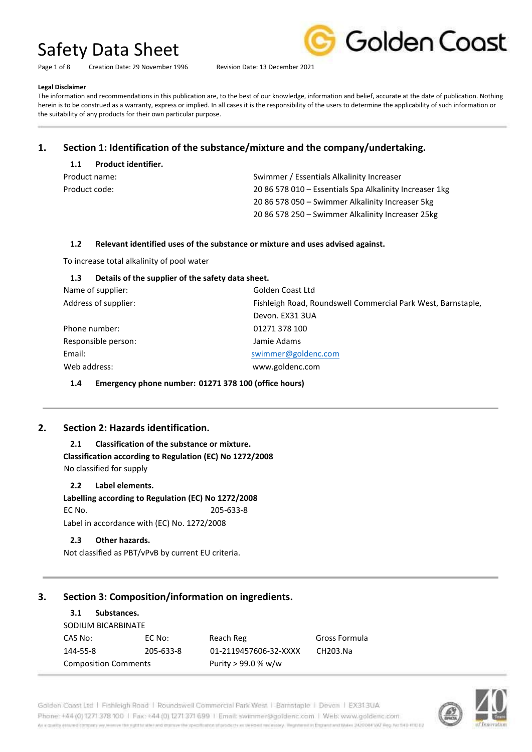Page 1 of 8 Creation Date: 29 November 1996 Revision Date: 13 December 2021



#### **Legal Disclaimer**

The information and recommendations in this publication are, to the best of our knowledge, information and belief, accurate at the date of publication. Nothing herein is to be construed as a warranty, express or implied. In all cases it is the responsibility of the users to determine the applicability of such information or the suitability of any products for their own particular purpose.

# **1. Section 1: Identification of the substance/mixture and the company/undertaking.**

| 1.1           | <b>Product identifier.</b> |                                                         |  |
|---------------|----------------------------|---------------------------------------------------------|--|
| Product name: |                            | Swimmer / Essentials Alkalinity Increaser               |  |
| Product code: |                            | 20 86 578 010 - Essentials Spa Alkalinity Increaser 1kg |  |
|               |                            | 20 86 578 050 - Swimmer Alkalinity Increaser 5kg        |  |
|               |                            | 20 86 578 250 – Swimmer Alkalinity Increaser 25kg       |  |

## **1.2 Relevant identified uses of the substance or mixture and uses advised against.**

To increase total alkalinity of pool water

# **1.3 Details of the supplier of the safety data sheet.**

| Name of supplier:    | Golden Coast Ltd                                             |
|----------------------|--------------------------------------------------------------|
| Address of supplier: | Fishleigh Road, Roundswell Commercial Park West, Barnstaple, |
|                      | Devon. EX31 3UA                                              |
| Phone number:        | 01271 378 100                                                |
| Responsible person:  | Jamie Adams                                                  |
| Email:               | swimmer@goldenc.com                                          |
| Web address:         | www.goldenc.com                                              |
|                      |                                                              |

**1.4 Emergency phone number: 01271 378 100 (office hours)** 

# **2. Section 2: Hazards identification.**

**2.1 Classification of the substance or mixture. Classification according to Regulation (EC) No 1272/2008**  No classified for supply

**2.2 Label elements.** 

**Labelling according to Regulation (EC) No 1272/2008**  EC No. 205-633-8 Label in accordance with (EC) No. 1272/2008

# **2.3 Other hazards.**

Not classified as PBT/vPvB by current EU criteria.

# **3. Section 3: Composition/information on ingredients.**

# **3.1 Substances.**  SODIUM BICARBINATE CAS No: EC No: Reach Reg Gross Formula 144-55-8 205-633-8 01-2119457606-32-XXXX CH203.Na Composition Comments Purity > 99.0 % w/w

Golden Coast Ltd | Fishleigh Road | Roundswell Commercial Park West | Barnstaple | Devon | EX313UA Phone: +44 (0) 1271 378 100 | Fax: +44 (0) 1271 371 699 | Email: swimmer@goldenc.com | Web: www.goldenc.com As a quality enturied company we receive the right to allet and counse the specification of products as deterministically. Registered in Expression and Wales 2420044 VAT Reg. Not 540-4103 U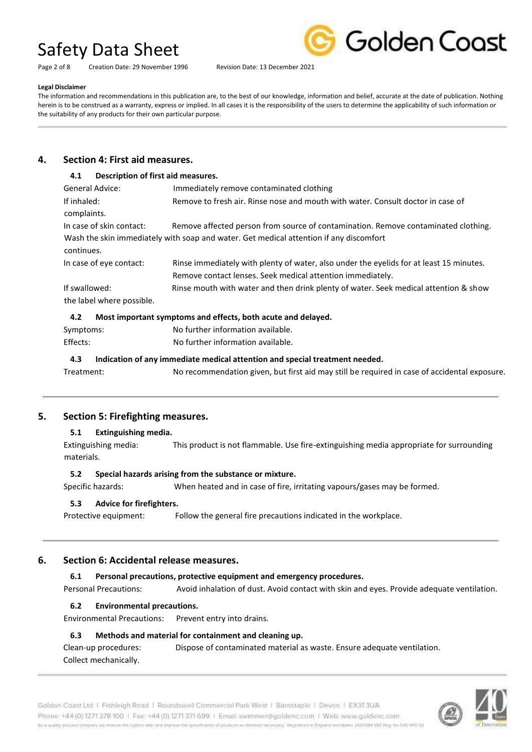Page 2 of 8 Creation Date: 29 November 1996 Revision Date: 13 December 2021



#### **Legal Disclaimer**

The information and recommendations in this publication are, to the best of our knowledge, information and belief, accurate at the date of publication. Nothing herein is to be construed as a warranty, express or implied. In all cases it is the responsibility of the users to determine the applicability of such information or the suitability of any products for their own particular purpose.

# **4. Section 4: First aid measures.**

# **4.1 Description of first aid measures.**  General Advice: Immediately remove contaminated clothing If inhaled: Remove to fresh air. Rinse nose and mouth with water. Consult doctor in case of complaints. In case of skin contact: Remove affected person from source of contamination. Remove contaminated clothing. Wash the skin immediately with soap and water. Get medical attention if any discomfort continues. In case of eye contact: Rinse immediately with plenty of water, also under the eyelids for at least 15 minutes. Remove contact lenses. Seek medical attention immediately. If swallowed: Rinse mouth with water and then drink plenty of water. Seek medical attention & show the label where possible.

## **4.2 Most important symptoms and effects, both acute and delayed.**

| Symptoms: | No further information available. |
|-----------|-----------------------------------|
| Effects:  | No further information available. |

## **4.3 Indication of any immediate medical attention and special treatment needed.**

Treatment: No recommendation given, but first aid may still be required in case of accidental exposure.

# **5. Section 5: Firefighting measures.**

## **5.1 Extinguishing media.**

Extinguishing media: This product is not flammable. Use fire-extinguishing media appropriate for surrounding materials.

## **5.2 Special hazards arising from the substance or mixture.**

Specific hazards: When heated and in case of fire, irritating vapours/gases may be formed.

## **5.3 Advice for firefighters.**

Protective equipment: Follow the general fire precautions indicated in the workplace.

# **6. Section 6: Accidental release measures.**

## **6.1 Personal precautions, protective equipment and emergency procedures.**

Personal Precautions: Avoid inhalation of dust. Avoid contact with skin and eyes. Provide adequate ventilation.

## **6.2 Environmental precautions.**

Environmental Precautions: Prevent entry into drains.

# **6.3 Methods and material for containment and cleaning up.**

Clean-up procedures: Dispose of contaminated material as waste. Ensure adequate ventilation. Collect mechanically.

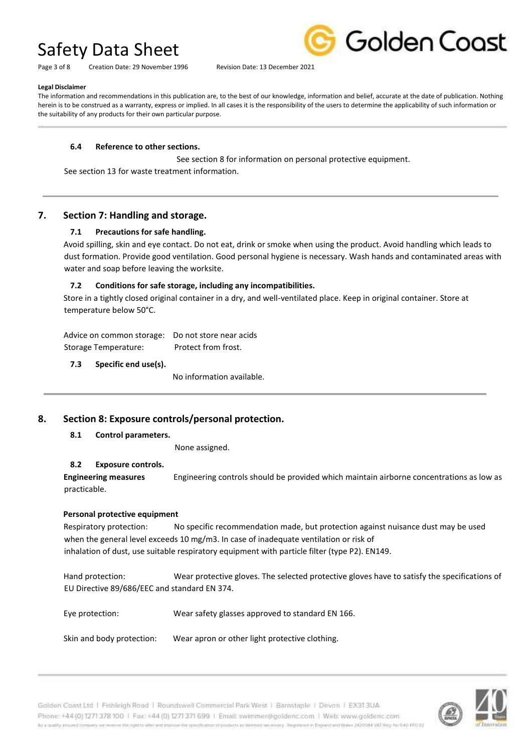Page 3 of 8 Creation Date: 29 November 1996 Revision Date: 13 December 2021



#### **Legal Disclaimer**

The information and recommendations in this publication are, to the best of our knowledge, information and belief, accurate at the date of publication. Nothing herein is to be construed as a warranty, express or implied. In all cases it is the responsibility of the users to determine the applicability of such information or the suitability of any products for their own particular purpose.

### **6.4 Reference to other sections.**

 See section 8 for information on personal protective equipment. See section 13 for waste treatment information.

# **7. Section 7: Handling and storage.**

## **7.1 Precautions for safe handling.**

Avoid spilling, skin and eye contact. Do not eat, drink or smoke when using the product. Avoid handling which leads to dust formation. Provide good ventilation. Good personal hygiene is necessary. Wash hands and contaminated areas with water and soap before leaving the worksite.

## **7.2 Conditions for safe storage, including any incompatibilities.**

Store in a tightly closed original container in a dry, and well-ventilated place. Keep in original container. Store at temperature below 50°C.

Advice on common storage: Do not store near acids Storage Temperature: Protect from frost.

**7.3 Specific end use(s).** 

No information available.

# **8. Section 8: Exposure controls/personal protection.**

## **8.1 Control parameters.**

None assigned.

# **8.2 Exposure controls.**

**Engineering measures** Engineering controls should be provided which maintain airborne concentrations as low as practicable.

## **Personal protective equipment**

Respiratory protection: No specific recommendation made, but protection against nuisance dust may be used when the general level exceeds 10 mg/m3. In case of inadequate ventilation or risk of inhalation of dust, use suitable respiratory equipment with particle filter (type P2). EN149.

Hand protection: Wear protective gloves. The selected protective gloves have to satisfy the specifications of EU Directive 89/686/EEC and standard EN 374.

Eye protection: Wear safety glasses approved to standard EN 166.

Skin and body protection: Wear apron or other light protective clothing.

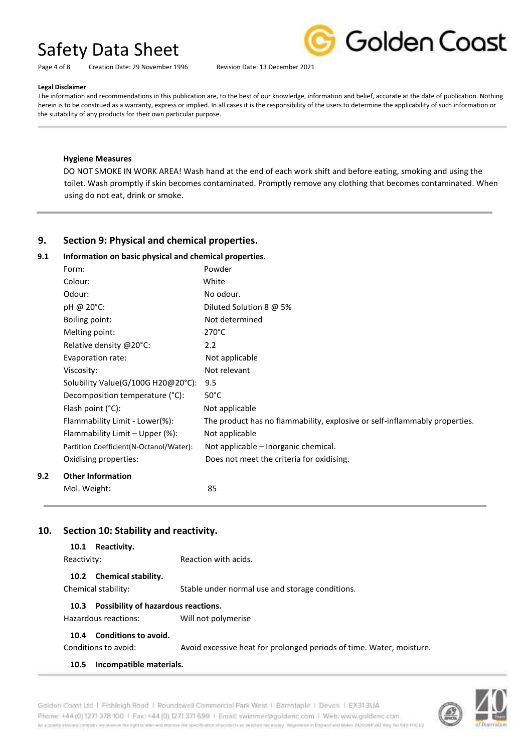

Page 4 of 8 Creation Date: 29 November 1996 Revision Date: 13 December 2021

#### **Legal Disclaimer**

The information and recommendations in this publication are, to the best of our knowledge, information and belief, accurate at the date of publication. Nothing herein is to be construed as a warranty, express or implied. In all cases it is the responsibility of the users to determine the applicability of such information or the suitability of any products for their own particular purpose.

### **Hygiene Measures**

DO NOT SMOKE IN WORK AREA! Wash hand at the end of each work shift and before eating, smoking and using the toilet. Wash promptly if skin becomes contaminated. Promptly remove any clothing that becomes contaminated. When using do not eat, drink or smoke.

# **9. Section 9: Physical and chemical properties.**

## **9.1 Information on basic physical and chemical properties.**

|     | Form:                                    | Powder                                                                     |
|-----|------------------------------------------|----------------------------------------------------------------------------|
|     | Colour:                                  | White                                                                      |
|     | Odour:                                   | No odour.                                                                  |
|     | pH @ 20°C:                               | Diluted Solution 8 @ 5%                                                    |
|     | Boiling point:                           | Not determined                                                             |
|     | Melting point:                           | $270^{\circ}$ C                                                            |
|     | Relative density @20°C:                  | 2.2                                                                        |
|     | Evaporation rate:                        | Not applicable                                                             |
|     | Viscosity:                               | Not relevant                                                               |
|     | Solubility Value(G/100G H20@20°C):       | 9.5                                                                        |
|     | Decomposition temperature (°C):          | $50^{\circ}$ C                                                             |
|     | Flash point $(^{\circ}C)$ :              | Not applicable                                                             |
|     | Flammability Limit - Lower(%):           | The product has no flammability, explosive or self-inflammably properties. |
|     | Flammability Limit - Upper (%):          | Not applicable                                                             |
|     | Partition Coefficient (N-Octanol/Water): | Not applicable – Inorganic chemical.                                       |
|     | Oxidising properties:                    | Does not meet the criteria for oxidising.                                  |
| 9.2 | <b>Other Information</b>                 |                                                                            |
|     | Mol. Weight:                             | 85                                                                         |

# **10. Section 10: Stability and reactivity.**

| Reactivity.<br>10.1                                |                                                 |  |  |
|----------------------------------------------------|-------------------------------------------------|--|--|
| Reactivity:                                        | Reaction with acids.                            |  |  |
| 10.2 Chemical stability.                           |                                                 |  |  |
| Chemical stability:                                | Stable under normal use and storage conditions. |  |  |
| <b>Possibility of hazardous reactions.</b><br>10.3 |                                                 |  |  |
| Hazardous reactions:                               | Will not polymerise                             |  |  |

#### **10.4 Conditions to avoid.**

Conditions to avoid: Avoid excessive heat for prolonged periods of time. Water, moisture.

## **10.5 Incompatible materials.**



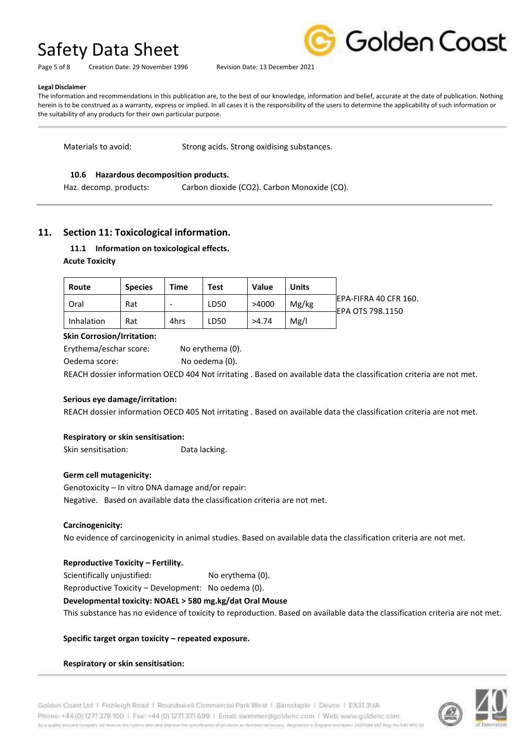Page 5 of 8 Creation Date: 29 November 1996 Revision Date: 13 December 2021



#### **Legal Disclaimer**

The information and recommendations in this publication are, to the best of our knowledge, information and belief, accurate at the date of publication. Nothing herein is to be construed as a warranty, express or implied. In all cases it is the responsibility of the users to determine the applicability of such information or the suitability of any products for their own particular purpose.

Materials to avoid: Strong acids. Strong oxidising substances.

### **10.6 Hazardous decomposition products.**

Haz. decomp. products: Carbon dioxide (CO2). Carbon Monoxide (CO).

# **11. Section 11: Toxicological information.**

# **11.1 Information on toxicological effects. Acute Toxicity**

| Route      | <b>Species</b> | Time | Test | Value | <b>Units</b> |                                              |
|------------|----------------|------|------|-------|--------------|----------------------------------------------|
| Oral       | Rat            |      | LD50 | >4000 | Mg/kg        | IEPA-FIFRA 40 CFR 160.<br>-IEPA OTS 798.1150 |
| Inhalation | Rat            | 4hrs | LD50 | >4.74 | Mg/l         |                                              |

### **Skin Corrosion/Irritation:**

Erythema/eschar score: No erythema (0). Oedema score: No oedema (0).

REACH dossier information OECD 404 Not irritating . Based on available data the classification criteria are not met.

#### **Serious eye damage/irritation:**

REACH dossier information OECD 405 Not irritating . Based on available data the classification criteria are not met.

## **Respiratory or skin sensitisation:**

Skin sensitisation: Data lacking.

#### **Germ cell mutagenicity:**

Genotoxicity – In vitro DNA damage and/or repair: Negative. Based on available data the classification criteria are not met.

#### **Carcinogenicity:**

No evidence of carcinogenicity in animal studies. Based on available data the classification criteria are not met.

## **Reproductive Toxicity – Fertility.**

Scientifically unjustified: No erythema (0).

Reproductive Toxicity – Development: No oedema (0).

## **Developmental toxicity: NOAEL > 580 mg.kg/dat Oral Mouse**

This substance has no evidence of toxicity to reproduction. Based on available data the classification criteria are not met.

#### **Specific target organ toxicity – repeated exposure.**

**Respiratory or skin sensitisation:** 

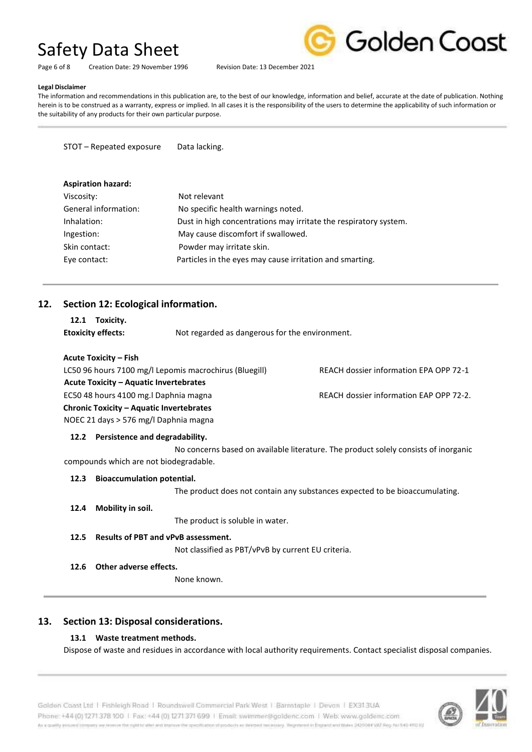

Page 6 of 8 Creation Date: 29 November 1996 Revision Date: 13 December 2021

# **Legal Disclaimer**

The information and recommendations in this publication are, to the best of our knowledge, information and belief, accurate at the date of publication. Nothing herein is to be construed as a warranty, express or implied. In all cases it is the responsibility of the users to determine the applicability of such information or the suitability of any products for their own particular purpose.

STOT – Repeated exposure Data lacking.

| <b>Aspiration hazard:</b> |                                                                  |
|---------------------------|------------------------------------------------------------------|
| Viscosity:                | Not relevant                                                     |
| General information:      | No specific health warnings noted.                               |
| Inhalation:               | Dust in high concentrations may irritate the respiratory system. |
| Ingestion:                | May cause discomfort if swallowed.                               |
| Skin contact:             | Powder may irritate skin.                                        |
| Eye contact:              | Particles in the eyes may cause irritation and smarting.         |
|                           |                                                                  |

# **12. Section 12: Ecological information.**

| 12.1 Toxicity.            |                                                |
|---------------------------|------------------------------------------------|
| <b>Etoxicity effects:</b> | Not regarded as dangerous for the environment. |

## **Acute Toxicity – Fish**

| LC50 96 hours 7100 mg/l Lepomis macrochirus (Bluegill) | REACH dossier information EPA OPP 72-1  |
|--------------------------------------------------------|-----------------------------------------|
| <b>Acute Toxicity - Aquatic Invertebrates</b>          |                                         |
| EC50 48 hours 4100 mg. I Daphnia magna                 | REACH dossier information EAP OPP 72-2. |
| <b>Chronic Toxicity - Aquatic Invertebrates</b>        |                                         |
| NOEC 21 days > 576 mg/l Daphnia magna                  |                                         |

# **12.2 Persistence and degradability.**

 No concerns based on available literature. The product solely consists of inorganic compounds which are not biodegradable.

## **12.3 Bioaccumulation potential.**

The product does not contain any substances expected to be bioaccumulating.

## **12.4 Mobility in soil.**

The product is soluble in water.

**12.5 Results of PBT and vPvB assessment.** 

Not classified as PBT/vPvB by current EU criteria.

**12.6 Other adverse effects.** 

None known.

# **13. Section 13: Disposal considerations.**

# **13.1 Waste treatment methods.**

Dispose of waste and residues in accordance with local authority requirements. Contact specialist disposal companies.

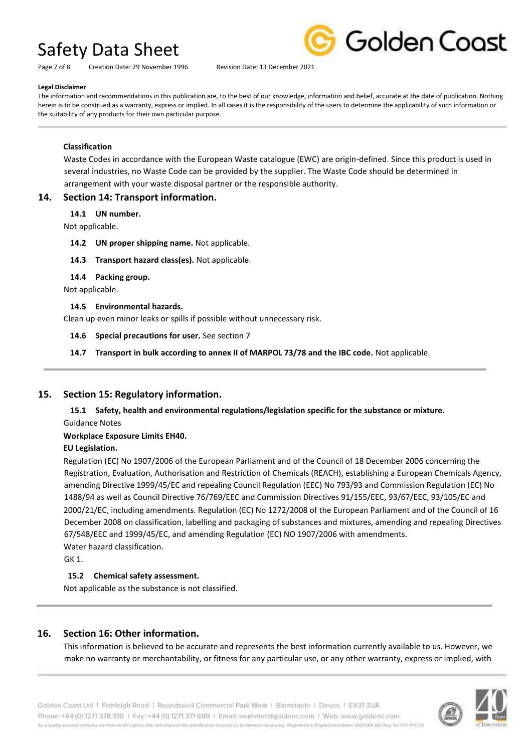Page 7 of 8 Creation Date: 29 November 1996 Revision Date: 13 December 2021



#### **Legal Disclaimer**

The information and recommendations in this publication are, to the best of our knowledge, information and belief, accurate at the date of publication. Nothing herein is to be construed as a warranty, express or implied. In all cases it is the responsibility of the users to determine the applicability of such information or the suitability of any products for their own particular purpose.

### **Classification**

Waste Codes in accordance with the European Waste catalogue (EWC) are origin-defined. Since this product is used in several industries, no Waste Code can be provided by the supplier. The Waste Code should be determined in arrangement with your waste disposal partner or the responsible authority.

## **14. Section 14: Transport information.**

### **14.1 UN number.**

Not applicable.

- **14.2 UN proper shipping name.** Not applicable.
- **14.3 Transport hazard class(es).** Not applicable.
- **14.4 Packing group.**

Not applicable.

### **14.5 Environmental hazards.**

Clean up even minor leaks or spills if possible without unnecessary risk.

### **14.6 Special precautions for user.** See section 7

**14.7 Transport in bulk according to annex II of MARPOL 73/78 and the IBC code.** Not applicable.

# **15. Section 15: Regulatory information.**

**15.1 Safety, health and environmental regulations/legislation specific for the substance or mixture.**  Guidance Notes

## **Workplace Exposure Limits EH40.**

## **EU Legislation.**

Regulation (EC) No 1907/2006 of the European Parliament and of the Council of 18 December 2006 concerning the Registration, Evaluation, Authorisation and Restriction of Chemicals (REACH), establishing a European Chemicals Agency, amending Directive 1999/45/EC and repealing Council Regulation (EEC) No 793/93 and Commission Regulation (EC) No 1488/94 as well as Council Directive 76/769/EEC and Commission Directives 91/155/EEC, 93/67/EEC, 93/105/EC and 2000/21/EC, including amendments. Regulation (EC) No 1272/2008 of the European Parliament and of the Council of 16 December 2008 on classification, labelling and packaging of substances and mixtures, amending and repealing Directives 67/548/EEC and 1999/45/EC, and amending Regulation (EC) NO 1907/2006 with amendments. Water hazard classification.

GK 1.

# **15.2 Chemical safety assessment.**

Not applicable as the substance is not classified.

# **16. Section 16: Other information.**

This information is believed to be accurate and represents the best information currently available to us. However, we make no warranty or merchantability, or fitness for any particular use, or any other warranty, express or implied, with